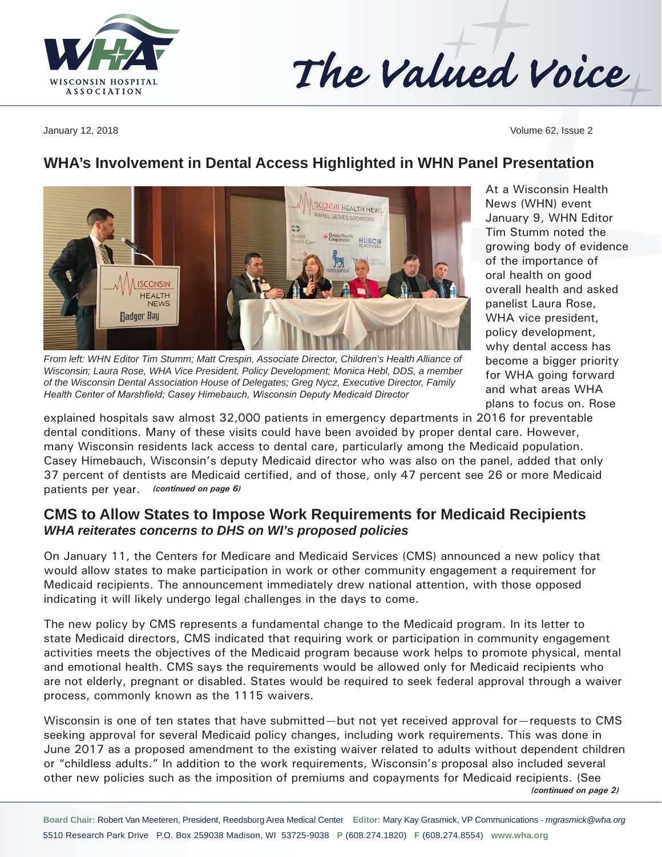

# The Valued Voice

January 12, 2018 Volume 62, Issue 2

## **WHA's Involvement in Dental Access Highlighted in WHN Panel Presentation**

ES

**ISCONSIN HEALTH NEW** PANEL SERIES SPONSOR

HUSCH

**ISCONSIN HEALTH NEWS Badger Bay** *From left: WHN Editor Tim Stumm; Matt Crespin, Associate Director, Children's Health Alliance of Wisconsin; Laura Rose, WHA Vice President, Policy Development; Monica Hebl, DDS, a member of the Wisconsin Dental Association House of Delegates; Greg Nycz, Executive Director, Family* 

*Health Center of Marshfield; Casey Himebauch, Wisconsin Deputy Medicaid Director*

At a Wisconsin Health News (WHN) event January 9, WHN Editor Tim Stumm noted the growing body of evidence of the importance of oral health on good overall health and asked panelist Laura Rose, WHA vice president, policy development, why dental access has become a bigger priority for WHA going forward and what areas WHA plans to focus on. Rose

explained hospitals saw almost 32,000 patients in emergency departments in 2016 for preventable dental conditions. Many of these visits could have been avoided by proper dental care. However, many Wisconsin residents lack access to dental care, particularly among the Medicaid population. Casey Himebauch, Wisconsin's deputy Medicaid director who was also on the panel, added that only 37 percent of dentists are Medicaid certified, and of those, only 47 percent see 26 or more Medicaid patients per year. *(continued on page 6)*

#### **CMS to Allow States to Impose Work Requirements for Medicaid Recipients** *WHA reiterates concerns to DHS on WI's proposed policies*

On January 11, the Centers for Medicare and Medicaid Services (CMS) announced a new policy that would allow states to make participation in work or other community engagement a requirement for Medicaid recipients. The announcement immediately drew national attention, with those opposed indicating it will likely undergo legal challenges in the days to come.

The new policy by CMS represents a fundamental change to the Medicaid program. In its letter to state Medicaid directors, CMS indicated that requiring work or participation in community engagement activities meets the objectives of the Medicaid program because work helps to promote physical, mental and emotional health. CMS says the requirements would be allowed only for Medicaid recipients who are not elderly, pregnant or disabled. States would be required to seek federal approval through a waiver process, commonly known as the 1115 waivers.

Wisconsin is one of ten states that have submitted—but not yet received approval for—requests to CMS seeking approval for several Medicaid policy changes, including work requirements. This was done in June 2017 as a proposed amendment to the existing waiver related to adults without dependent children or "childless adults." In addition to the work requirements, Wisconsin's proposal also included several other new policies such as the imposition of premiums and copayments for Medicaid recipients. (See *(continued on page 2)*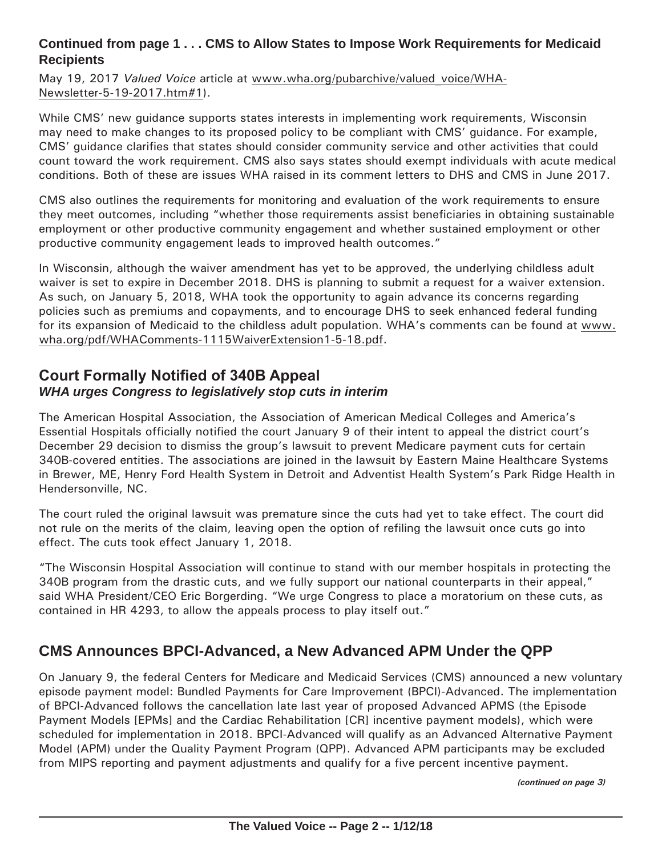#### **Continued from page 1 . . . CMS to Allow States to Impose Work Requirements for Medicaid Recipients**

May 19, 2017 *Valued Voice* article at [www.wha.org/pubarchive/valued\\_voice/WHA-](http://www.wha.org/pubarchive/valued_voice/WHA-Newsletter-5-19-2017.htm#1)[Newsletter-5-19-2017.htm#](http://www.wha.org/pubarchive/valued_voice/WHA-Newsletter-5-19-2017.htm#1)1).

While CMS' new guidance supports states interests in implementing work requirements, Wisconsin may need to make changes to its proposed policy to be compliant with CMS' guidance. For example, CMS' guidance clarifies that states should consider community service and other activities that could count toward the work requirement. CMS also says states should exempt individuals with acute medical conditions. Both of these are issues WHA raised in its comment letters to DHS and CMS in June 2017.

CMS also outlines the requirements for monitoring and evaluation of the work requirements to ensure they meet outcomes, including "whether those requirements assist beneficiaries in obtaining sustainable employment or other productive community engagement and whether sustained employment or other productive community engagement leads to improved health outcomes."

In Wisconsin, although the waiver amendment has yet to be approved, the underlying childless adult waiver is set to expire in December 2018. DHS is planning to submit a request for a waiver extension. As such, on January 5, 2018, WHA took the opportunity to again advance its concerns regarding policies such as premiums and copayments, and to encourage DHS to seek enhanced federal funding for its expansion of Medicaid to the childless adult population. WHA's comments can be found at [www.](http://www.wha.org/pdf/WHAComments-1115WaiverExtension1-5-18.pdf) [wha.org/pdf/WHAComments-1115WaiverExtension1-5-18.pdf](http://www.wha.org/pdf/WHAComments-1115WaiverExtension1-5-18.pdf).

#### **Court Formally Notified of 340B Appeal**  *WHA urges Congress to legislatively stop cuts in interim*

The American Hospital Association, the Association of American Medical Colleges and America's Essential Hospitals officially notified the court January 9 of their intent to appeal the district court's December 29 decision to dismiss the group's lawsuit to prevent Medicare payment cuts for certain 340B-covered entities. The associations are joined in the lawsuit by Eastern Maine Healthcare Systems in Brewer, ME, Henry Ford Health System in Detroit and Adventist Health System's Park Ridge Health in Hendersonville, NC.

The court ruled the original lawsuit was premature since the cuts had yet to take effect. The court did not rule on the merits of the claim, leaving open the option of refiling the lawsuit once cuts go into effect. The cuts took effect January 1, 2018.

"The Wisconsin Hospital Association will continue to stand with our member hospitals in protecting the 340B program from the drastic cuts, and we fully support our national counterparts in their appeal," said WHA President/CEO Eric Borgerding. "We urge Congress to place a moratorium on these cuts, as contained in HR 4293, to allow the appeals process to play itself out."

## **CMS Announces BPCI-Advanced, a New Advanced APM Under the QPP**

On January 9, the federal Centers for Medicare and Medicaid Services (CMS) announced a new voluntary episode payment model: Bundled Payments for Care Improvement (BPCI)-Advanced. The implementation of BPCI-Advanced follows the cancellation late last year of proposed Advanced APMS (the Episode Payment Models [EPMs] and the Cardiac Rehabilitation [CR] incentive payment models), which were scheduled for implementation in 2018. BPCI-Advanced will qualify as an Advanced Alternative Payment Model (APM) under the Quality Payment Program (QPP). Advanced APM participants may be excluded from MIPS reporting and payment adjustments and qualify for a five percent incentive payment.

*(continued on page 3)*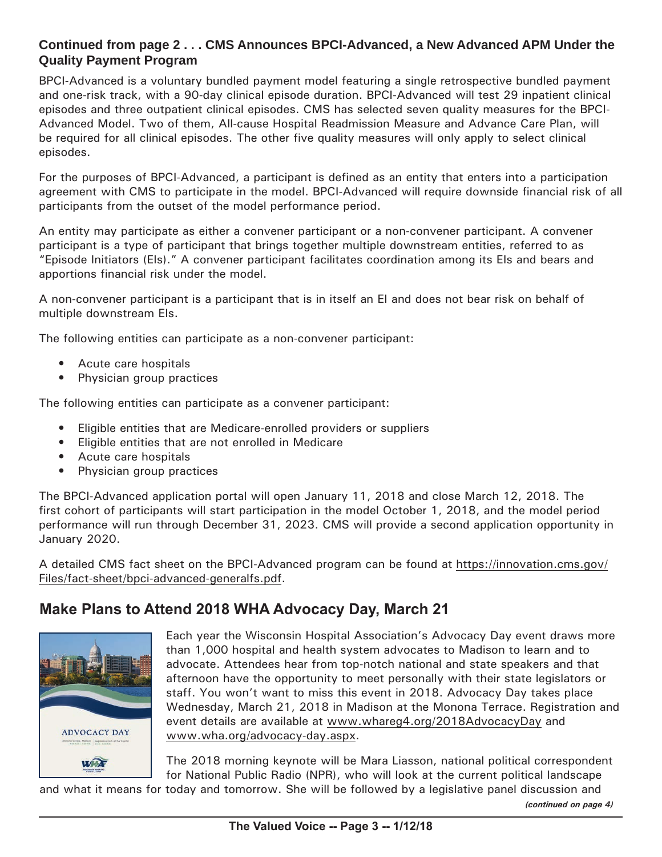#### **Continued from page 2 . . . CMS Announces BPCI-Advanced, a New Advanced APM Under the Quality Payment Program**

BPCI-Advanced is a voluntary bundled payment model featuring a single retrospective bundled payment and one-risk track, with a 90-day clinical episode duration. BPCI-Advanced will test 29 inpatient clinical episodes and three outpatient clinical episodes. CMS has selected seven quality measures for the BPCI-Advanced Model. Two of them, All-cause Hospital Readmission Measure and Advance Care Plan, will be required for all clinical episodes. The other five quality measures will only apply to select clinical episodes.

For the purposes of BPCI-Advanced, a participant is defined as an entity that enters into a participation agreement with CMS to participate in the model. BPCI-Advanced will require downside financial risk of all participants from the outset of the model performance period.

An entity may participate as either a convener participant or a non-convener participant. A convener participant is a type of participant that brings together multiple downstream entities, referred to as "Episode Initiators (EIs)." A convener participant facilitates coordination among its EIs and bears and apportions financial risk under the model.

A non-convener participant is a participant that is in itself an EI and does not bear risk on behalf of multiple downstream EIs.

The following entities can participate as a non-convener participant:

- Acute care hospitals
- Physician group practices

The following entities can participate as a convener participant:

- Eligible entities that are Medicare-enrolled providers or suppliers
- Eligible entities that are not enrolled in Medicare
- Acute care hospitals
- Physician group practices

The BPCI-Advanced application portal will open January 11, 2018 and close March 12, 2018. The first cohort of participants will start participation in the model October 1, 2018, and the model period performance will run through December 31, 2023. CMS will provide a second application opportunity in January 2020.

A detailed CMS fact sheet on the BPCI-Advanced program can be found at [https://innovation.cms.gov/](https://innovation.cms.gov/Files/fact-sheet/bpci-advanced-generalfs.pdf) [Files/fact-sheet/bpci-advanced-generalfs.pdf.](https://innovation.cms.gov/Files/fact-sheet/bpci-advanced-generalfs.pdf)

## **Make Plans to Attend 2018 WHA Advocacy Day, March 21**



Each year the Wisconsin Hospital Association's Advocacy Day event draws more than 1,000 hospital and health system advocates to Madison to learn and to advocate. Attendees hear from top-notch national and state speakers and that afternoon have the opportunity to meet personally with their state legislators or staff. You won't want to miss this event in 2018. Advocacy Day takes place Wednesday, March 21, 2018 in Madison at the Monona Terrace. Registration and event details are available at [www.whareg4.org](http://www.whareg4.org/2018AdvocacyDay)/2018AdvocacyDay and [www.wha.org/advocacy-day.aspx](http://www.wha.org/advocacy-day.aspx).

The 2018 morning keynote will be Mara Liasson, national political correspondent for National Public Radio (NPR), who will look at the current political landscape

and what it means for today and tomorrow. She will be followed by a legislative panel discussion and

*(continued on page 4)*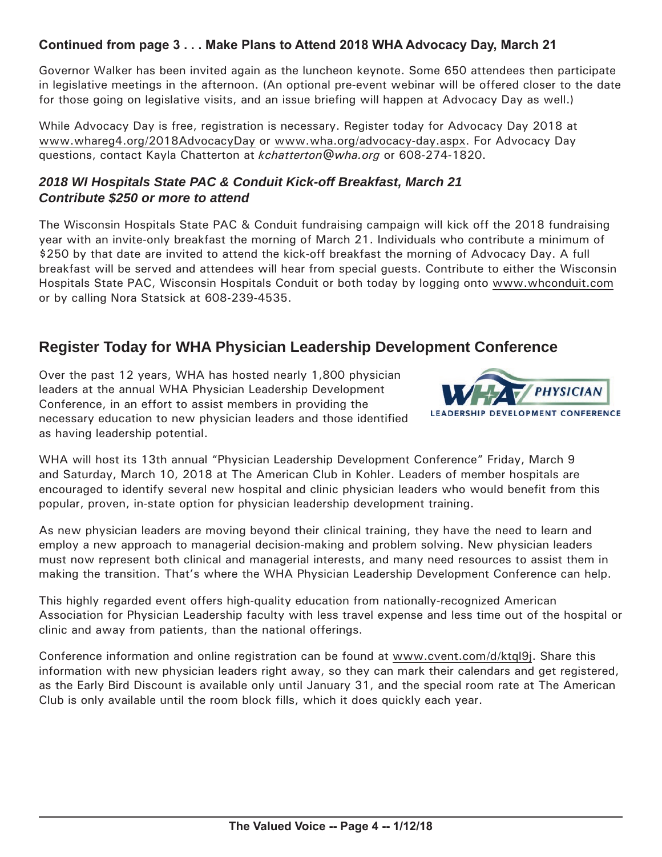#### **Continued from page 3 . . . Make Plans to Attend 2018 WHA Advocacy Day, March 21**

Governor Walker has been invited again as the luncheon keynote. Some 650 attendees then participate in legislative meetings in the afternoon. (An optional pre-event webinar will be offered closer to the date for those going on legislative visits, and an issue briefing will happen at Advocacy Day as well.)

While Advocacy Day is free, registration is necessary. Register today for Advocacy Day 2018 at [www.whareg4.org/](http://www.whareg4.org/2018AdvocacyDay)2018AdvocacyDay or [www.wha.org/advocacy-day.aspx.](http://www.wha.org/advocacy-day.aspx) For Advocacy Day questions, contact Kayla Chatterton at *[kchatterton@wha.org](mailto:kchatterton@wha.org)* or 608-274-1820.

#### *2018 WI Hospitals State PAC & Conduit Kick-off Breakfast, March 21 Contribute \$250 or more to attend*

The Wisconsin Hospitals State PAC & Conduit fundraising campaign will kick off the 2018 fundraising year with an invite-only breakfast the morning of March 21. Individuals who contribute a minimum of \$250 by that date are invited to attend the kick-off breakfast the morning of Advocacy Day. A full breakfast will be served and attendees will hear from special guests. Contribute to either the Wisconsin Hospitals State PAC, Wisconsin Hospitals Conduit or both today by logging onto [www.whconduit.com](http://www.whconduit.com) or by calling Nora Statsick at 608-239-4535.

## **Register Today for WHA Physician Leadership Development Conference**

Over the past 12 years, WHA has hosted nearly 1,800 physician leaders at the annual WHA Physician Leadership Development Conference, in an effort to assist members in providing the necessary education to new physician leaders and those identified as having leadership potential.



WHA will host its 13th annual "Physician Leadership Development Conference" Friday, March 9 and Saturday, March 10, 2018 at The American Club in Kohler. Leaders of member hospitals are encouraged to identify several new hospital and clinic physician leaders who would benefit from this popular, proven, in-state option for physician leadership development training.

As new physician leaders are moving beyond their clinical training, they have the need to learn and employ a new approach to managerial decision-making and problem solving. New physician leaders must now represent both clinical and managerial interests, and many need resources to assist them in making the transition. That's where the WHA Physician Leadership Development Conference can help.

This highly regarded event offers high-quality education from nationally-recognized American Association for Physician Leadership faculty with less travel expense and less time out of the hospital or clinic and away from patients, than the national offerings.

Conference information and online registration can be found at [www.cvent.com/d/ktql9](http://www.cvent.com/d/ktql9j)j. Share this information with new physician leaders right away, so they can mark their calendars and get registered, as the Early Bird Discount is available only until January 31, and the special room rate at The American Club is only available until the room block fills, which it does quickly each year.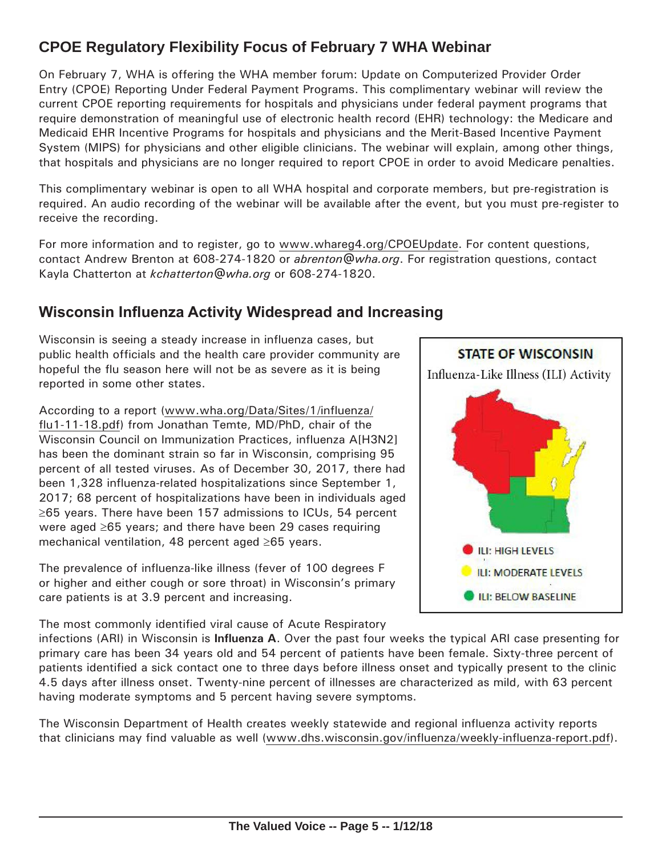# **CPOE Regulatory Flexibility Focus of February 7 WHA Webinar**

On February 7, WHA is offering the WHA member forum: Update on Computerized Provider Order Entry (CPOE) Reporting Under Federal Payment Programs. This complimentary webinar will review the current CPOE reporting requirements for hospitals and physicians under federal payment programs that require demonstration of meaningful use of electronic health record (EHR) technology: the Medicare and Medicaid EHR Incentive Programs for hospitals and physicians and the Merit-Based Incentive Payment System (MIPS) for physicians and other eligible clinicians. The webinar will explain, among other things, that hospitals and physicians are no longer required to report CPOE in order to avoid Medicare penalties.

This complimentary webinar is open to all WHA hospital and corporate members, but pre-registration is required. An audio recording of the webinar will be available after the event, but you must pre-register to receive the recording.

For more information and to register, go to [www.whareg4.org/CPOEUpdate.](http://www.whareg4.org/CPOEUpdate) For content questions, contact Andrew Brenton at 608-274-1820 or *[abrenton@wha.org](mailto:abrenton@wha.org)*. For registration questions, contact Kayla Chatterton at *[kchatterton@wha.org](mailto:kchatterton@wha.org)* or 608-274-1820.

## **Wisconsin Influenza Activity Widespread and Increasing**

Wisconsin is seeing a steady increase in influenza cases, but public health officials and the health care provider community are hopeful the flu season here will not be as severe as it is being reported in some other states.

According to a report [\(www.wha.org/Data/Sites/1/influenza/](http://www.wha.org/Data/Sites/1/influenza/flu1-11-18.pdf) [flu1-11-18.pdf](http://www.wha.org/Data/Sites/1/influenza/flu1-11-18.pdf)) from Jonathan Temte, MD/PhD, chair of the Wisconsin Council on Immunization Practices, influenza A[H3N2] has been the dominant strain so far in Wisconsin, comprising 95 percent of all tested viruses. As of December 30, 2017, there had been 1,328 influenza-related hospitalizations since September 1, 2017; 68 percent of hospitalizations have been in individuals aged ≥65 years. There have been 157 admissions to ICUs, 54 percent were aged ≥65 years; and there have been 29 cases requiring mechanical ventilation, 48 percent aged ≥65 years.

The prevalence of influenza-like illness (fever of 100 degrees F or higher and either cough or sore throat) in Wisconsin's primary care patients is at 3.9 percent and increasing.

The most commonly identified viral cause of Acute Respiratory

infections (ARI) in Wisconsin is **Influenza A**. Over the past four weeks the typical ARI case presenting for primary care has been 34 years old and 54 percent of patients have been female. Sixty-three percent of patients identified a sick contact one to three days before illness onset and typically present to the clinic 4.5 days after illness onset. Twenty-nine percent of illnesses are characterized as mild, with 63 percent having moderate symptoms and 5 percent having severe symptoms.

The Wisconsin Department of Health creates weekly statewide and regional influenza activity reports that clinicians may find valuable as well [\(www.dhs.wisconsin.gov/influenza/weekly-influenza-report.pdf](http://www.dhs.wisconsin.gov/influenza/weekly-influenza-report.pdf)).

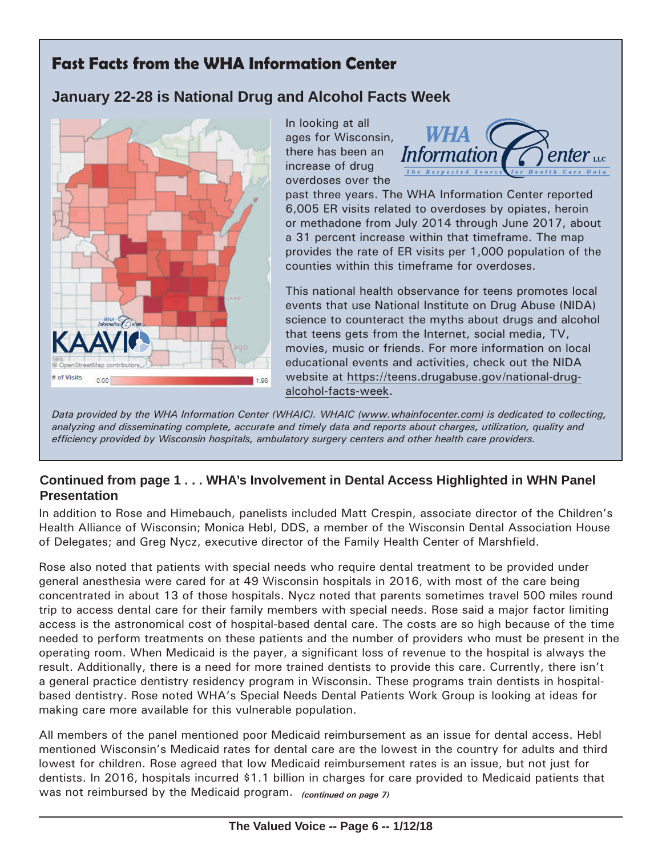# **Fast Facts from the WHA Information Center**

# **January 22-28 is National Drug and Alcohol Facts Week**



In looking at all ages for Wisconsin, there has been an increase of drug overdoses over the



past three years. The WHA Information Center reported 6,005 ER visits related to overdoses by opiates, heroin or methadone from July 2014 through June 2017, about a 31 percent increase within that timeframe. The map provides the rate of ER visits per 1,000 population of the counties within this timeframe for overdoses.

This national health observance for teens promotes local events that use National Institute on Drug Abuse (NIDA) science to counteract the myths about drugs and alcohol that teens gets from the Internet, social media, TV, movies, music or friends. For more information on local educational events and activities, check out the NIDA website at [https://teens.drugabuse.gov/national-](https://teens.drugabuse.gov/national-drug-alcohol-facts-week)drugalcohol-facts-week.

*Data provided by the WHA Information Center (WHAIC). WHAIC [\(www.whainfocenter.com\)](http://www.whainfocenter.com) is dedicated to collecting, analyzing and disseminating complete, accurate and timely data and reports about charges, utilization, quality and efficiency provided by Wisconsin hospitals, ambulatory surgery centers and other health care providers.*

#### **Continued from page 1 . . . WHA's Involvement in Dental Access Highlighted in WHN Panel Presentation**

In addition to Rose and Himebauch, panelists included Matt Crespin, associate director of the Children's Health Alliance of Wisconsin; Monica Hebl, DDS, a member of the Wisconsin Dental Association House of Delegates; and Greg Nycz, executive director of the Family Health Center of Marshfield.

Rose also noted that patients with special needs who require dental treatment to be provided under general anesthesia were cared for at 49 Wisconsin hospitals in 2016, with most of the care being concentrated in about 13 of those hospitals. Nycz noted that parents sometimes travel 500 miles round trip to access dental care for their family members with special needs. Rose said a major factor limiting access is the astronomical cost of hospital-based dental care. The costs are so high because of the time needed to perform treatments on these patients and the number of providers who must be present in the operating room. When Medicaid is the payer, a significant loss of revenue to the hospital is always the result. Additionally, there is a need for more trained dentists to provide this care. Currently, there isn't a general practice dentistry residency program in Wisconsin. These programs train dentists in hospitalbased dentistry. Rose noted WHA's Special Needs Dental Patients Work Group is looking at ideas for making care more available for this vulnerable population.

All members of the panel mentioned poor Medicaid reimbursement as an issue for dental access. Hebl mentioned Wisconsin's Medicaid rates for dental care are the lowest in the country for adults and third lowest for children. Rose agreed that low Medicaid reimbursement rates is an issue, but not just for dentists. In 2016, hospitals incurred \$1.1 billion in charges for care provided to Medicaid patients that was not reimbursed by the Medicaid program. *(continued on page 7)*